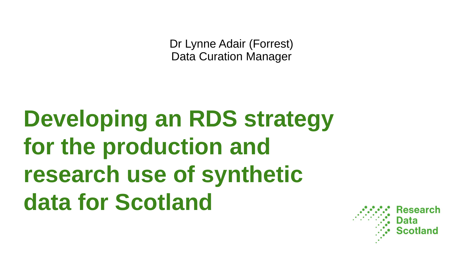Dr Lynne Adair (Forrest) Data Curation Manager

# **Developing an RDS strategy for the production and research use of synthetic data for Scotland**

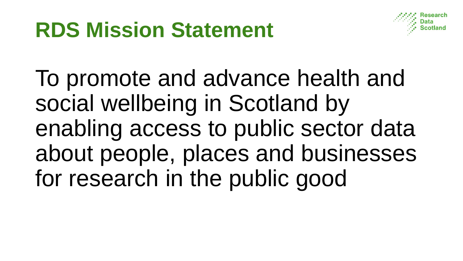## **RDS Mission Statement**



To promote and advance health and social wellbeing in Scotland by enabling access to public sector data about people, places and businesses for research in the public good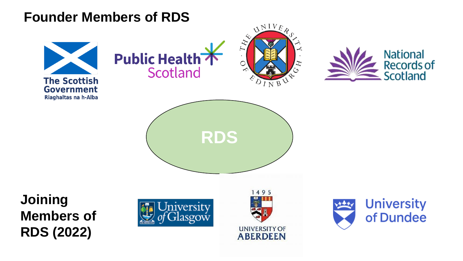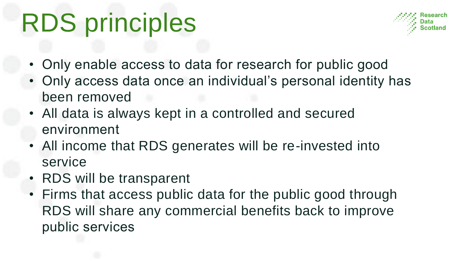# RDS principles



- Only enable access to data for research for public good
- Only access data once an individual's personal identity has been removed
- All data is always kept in a controlled and secured environment
- All income that RDS generates will be re-invested into service
- RDS will be transparent
- Firms that access public data for the public good through RDS will share any commercial benefits back to improve public services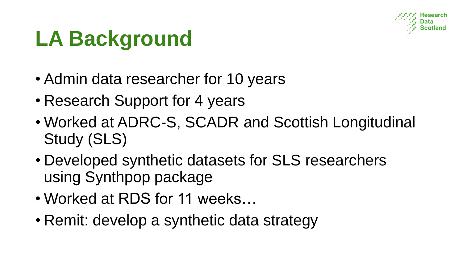

# **LA Background**

- Admin data researcher for 10 years
- Research Support for 4 years
- Worked at ADRC-S, SCADR and Scottish Longitudinal Study (SLS)
- Developed synthetic datasets for SLS researchers using Synthpop package
- Worked at RDS for 11 weeks…
- Remit: develop a synthetic data strategy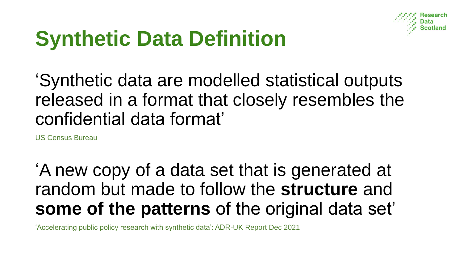

# **Synthetic Data Definition**

'Synthetic data are modelled statistical outputs released in a format that closely resembles the confidential data format'

US Census Bureau

'A new copy of a data set that is generated at random but made to follow the **structure** and **some of the patterns** of the original data set'

'Accelerating public policy research with synthetic data': ADR-UK Report Dec 2021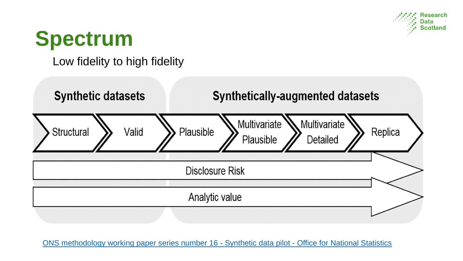

#### **Spectrum**

Low fidelity to high fidelity



[ONS methodology working paper series number 16 -](https://www.ons.gov.uk/methodology/methodologicalpublications/generalmethodology/onsworkingpaperseries/onsmethodologyworkingpaperseriesnumber16syntheticdatapilot) Synthetic data pilot - Office for National Statistics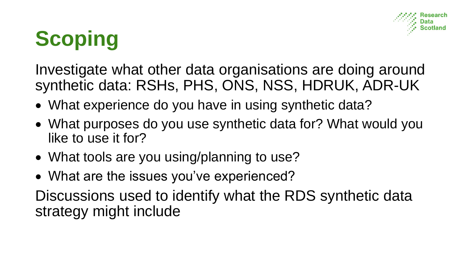

# **Scoping**

Investigate what other data organisations are doing around synthetic data: RSHs, PHS, ONS, NSS, HDRUK, ADR-UK

- What experience do you have in using synthetic data?
- What purposes do you use synthetic data for? What would you like to use it for?
- What tools are you using/planning to use?
- What are the issues you've experienced?

Discussions used to identify what the RDS synthetic data strategy might include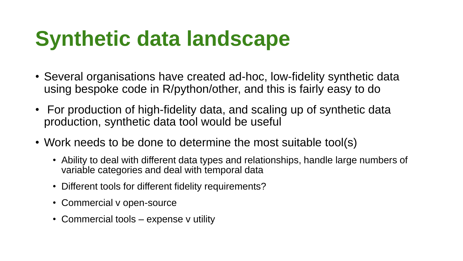# **Synthetic data landscape**

- Several organisations have created ad-hoc, low-fidelity synthetic data using bespoke code in R/python/other, and this is fairly easy to do
- For production of high-fidelity data, and scaling up of synthetic data production, synthetic data tool would be useful
- Work needs to be done to determine the most suitable tool(s)
	- Ability to deal with different data types and relationships, handle large numbers of variable categories and deal with temporal data
	- Different tools for different fidelity requirements?
	- Commercial v open-source
	- Commercial tools expense v utility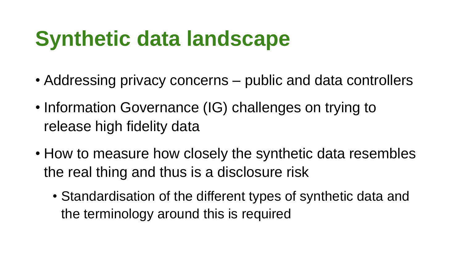# **Synthetic data landscape**

- Addressing privacy concerns public and data controllers
- Information Governance (IG) challenges on trying to release high fidelity data
- How to measure how closely the synthetic data resembles the real thing and thus is a disclosure risk
	- Standardisation of the different types of synthetic data and the terminology around this is required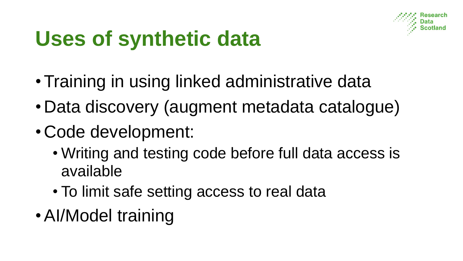

# **Uses of synthetic data**

- •Training in using linked administrative data
- Data discovery (augment metadata catalogue)
- Code development:
	- Writing and testing code before full data access is available
	- To limit safe setting access to real data
- •AI/Model training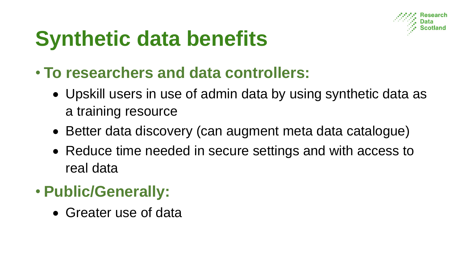

# **Synthetic data benefits**

- **To researchers and data controllers:**
	- Upskill users in use of admin data by using synthetic data as a training resource
	- Better data discovery (can augment meta data catalogue)
	- Reduce time needed in secure settings and with access to real data

#### • **Public/Generally:**

• Greater use of data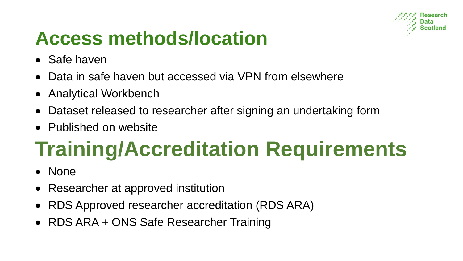

#### **Access methods/location**

- Safe haven
- Data in safe haven but accessed via VPN from elsewhere
- Analytical Workbench
- Dataset released to researcher after signing an undertaking form
- Published on website

# **Training/Accreditation Requirements**

- None
- Researcher at approved institution
- RDS Approved researcher accreditation (RDS ARA)
- RDS ARA + ONS Safe Researcher Training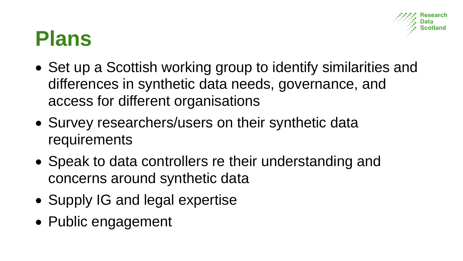#### **Plans**

- Set up a Scottish working group to identify similarities and differences in synthetic data needs, governance, and access for different organisations
- Survey researchers/users on their synthetic data requirements
- Speak to data controllers re their understanding and concerns around synthetic data
- Supply IG and legal expertise
- Public engagement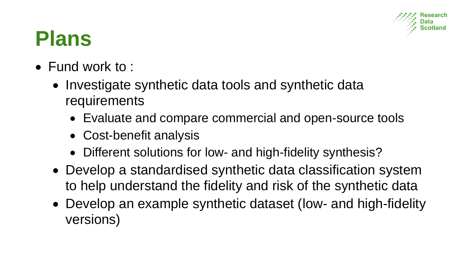

#### **Plans**

- Fund work to :
	- Investigate synthetic data tools and synthetic data requirements
		- Evaluate and compare commercial and open-source tools
		- Cost-benefit analysis
		- Different solutions for low- and high-fidelity synthesis?
	- Develop a standardised synthetic data classification system to help understand the fidelity and risk of the synthetic data
	- Develop an example synthetic dataset (low- and high-fidelity versions)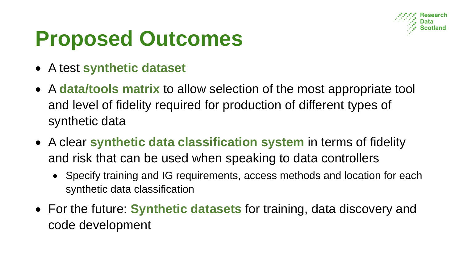

### **Proposed Outcomes**

- A test **synthetic dataset**
- A **data/tools matrix** to allow selection of the most appropriate tool and level of fidelity required for production of different types of synthetic data
- A clear **synthetic data classification system** in terms of fidelity and risk that can be used when speaking to data controllers
	- Specify training and IG requirements, access methods and location for each synthetic data classification
- For the future: **Synthetic datasets** for training, data discovery and code development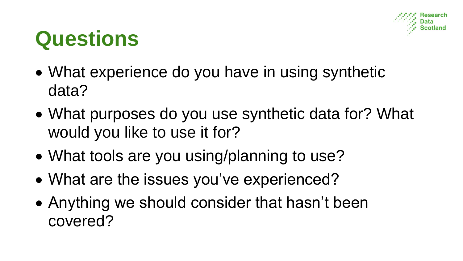

### **Questions**

- What experience do you have in using synthetic data?
- What purposes do you use synthetic data for? What would you like to use it for?
- What tools are you using/planning to use?
- What are the issues you've experienced?
- Anything we should consider that hasn't been covered?